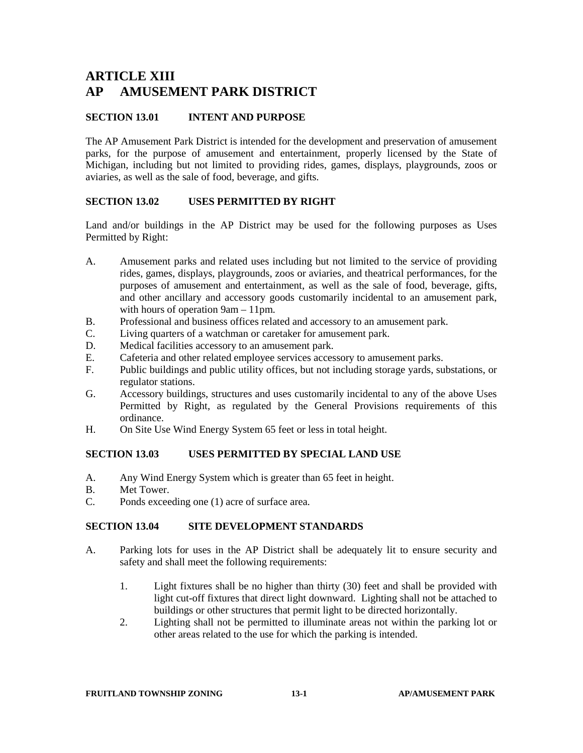# **ARTICLE XIII AP AMUSEMENT PARK DISTRICT**

# **SECTION 13.01 INTENT AND PURPOSE**

The AP Amusement Park District is intended for the development and preservation of amusement parks, for the purpose of amusement and entertainment, properly licensed by the State of Michigan, including but not limited to providing rides, games, displays, playgrounds, zoos or aviaries, as well as the sale of food, beverage, and gifts.

# **SECTION 13.02 USES PERMITTED BY RIGHT**

Land and/or buildings in the AP District may be used for the following purposes as Uses Permitted by Right:

- A. Amusement parks and related uses including but not limited to the service of providing rides, games, displays, playgrounds, zoos or aviaries, and theatrical performances, for the purposes of amusement and entertainment, as well as the sale of food, beverage, gifts, and other ancillary and accessory goods customarily incidental to an amusement park, with hours of operation 9am – 11pm.
- B. Professional and business offices related and accessory to an amusement park.
- C. Living quarters of a watchman or caretaker for amusement park.<br>D. Medical facilities accessory to an amusement park.
- Medical facilities accessory to an amusement park.
- E. Cafeteria and other related employee services accessory to amusement parks.
- F. Public buildings and public utility offices, but not including storage yards, substations, or regulator stations.
- G. Accessory buildings, structures and uses customarily incidental to any of the above Uses Permitted by Right, as regulated by the General Provisions requirements of this ordinance.
- H. On Site Use Wind Energy System 65 feet or less in total height.

### **SECTION 13.03 USES PERMITTED BY SPECIAL LAND USE**

- A. Any Wind Energy System which is greater than 65 feet in height.
- B. Met Tower.<br>C. Ponds excee
- Ponds exceeding one (1) acre of surface area.

### **SECTION 13.04 SITE DEVELOPMENT STANDARDS**

- A. Parking lots for uses in the AP District shall be adequately lit to ensure security and safety and shall meet the following requirements:
	- 1. Light fixtures shall be no higher than thirty (30) feet and shall be provided with light cut-off fixtures that direct light downward. Lighting shall not be attached to buildings or other structures that permit light to be directed horizontally.
	- 2. Lighting shall not be permitted to illuminate areas not within the parking lot or other areas related to the use for which the parking is intended.